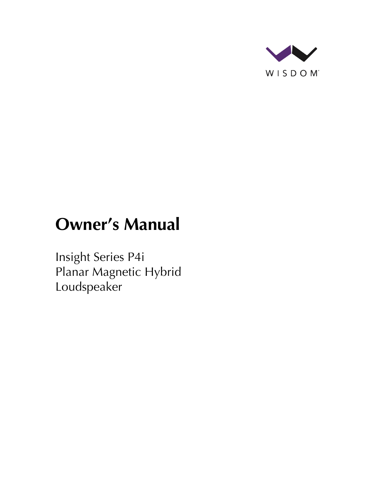

# **Owner's Manual**

Insight Series P4i Planar Magnetic Hybrid Loudspeaker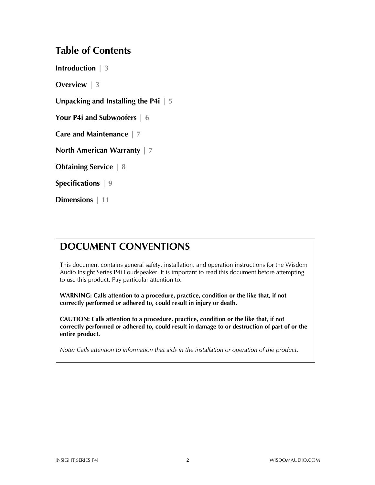## **Table of Contents**

**Introduction | 3**

**Overview | 3**

**Unpacking and Installing the P4i | 5**

**Your P4i and Subwoofers | 6**

**Care and Maintenance | 7**

**North American Warranty | 7**

**Obtaining Service | 8**

**Specifications | 9**

**Dimensions | 11**

## **DOCUMENT CONVENTIONS**

This document contains general safety, installation, and operation instructions for the Wisdom Audio Insight Series P4i Loudspeaker. It is important to read this document before attempting to use this product. Pay particular attention to:

**WARNING: Calls attention to a procedure, practice, condition or the like that, if not correctly performed or adhered to, could result in injury or death.** 

**CAUTION: Calls attention to a procedure, practice, condition or the like that, if not correctly performed or adhered to, could result in damage to or destruction of part of or the entire product.** 

*Note: Calls attention to information that aids in the installation or operation of the product.*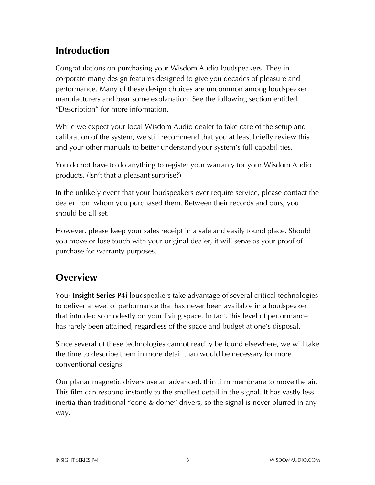# **Introduction**

Congratulations on purchasing your Wisdom Audio loudspeakers. They incorporate many design features designed to give you decades of pleasure and performance. Many of these design choices are uncommon among loudspeaker manufacturers and bear some explanation. See the following section entitled "Description" for more information.

While we expect your local Wisdom Audio dealer to take care of the setup and calibration of the system, we still recommend that you at least briefly review this and your other manuals to better understand your system's full capabilities.

You do not have to do anything to register your warranty for your Wisdom Audio products. (Isn't that a pleasant surprise?)

In the unlikely event that your loudspeakers ever require service, please contact the dealer from whom you purchased them. Between their records and ours, you should be all set.

However, please keep your sales receipt in a safe and easily found place. Should you move or lose touch with your original dealer, it will serve as your proof of purchase for warranty purposes.

## **Overview**

Your **Insight Series P4i** loudspeakers take advantage of several critical technologies to deliver a level of performance that has never been available in a loudspeaker that intruded so modestly on your living space. In fact, this level of performance has rarely been attained, regardless of the space and budget at one's disposal.

Since several of these technologies cannot readily be found elsewhere, we will take the time to describe them in more detail than would be necessary for more conventional designs.

Our planar magnetic drivers use an advanced, thin film membrane to move the air. This film can respond instantly to the smallest detail in the signal. It has vastly less inertia than traditional "cone & dome" drivers, so the signal is never blurred in any way.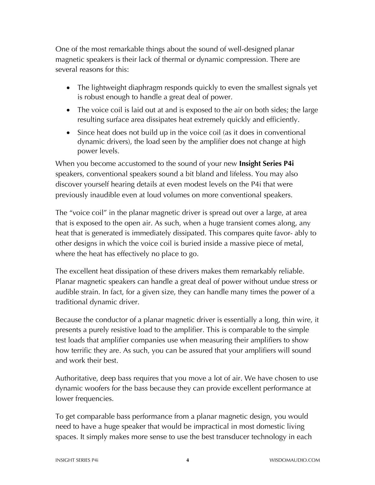One of the most remarkable things about the sound of well-designed planar magnetic speakers is their lack of thermal or dynamic compression. There are several reasons for this:

- The lightweight diaphragm responds quickly to even the smallest signals yet is robust enough to handle a great deal of power.
- The voice coil is laid out at and is exposed to the air on both sides; the large resulting surface area dissipates heat extremely quickly and efficiently.
- Since heat does not build up in the voice coil (as it does in conventional dynamic drivers), the load seen by the amplifier does not change at high power levels.

When you become accustomed to the sound of your new **Insight Series P4i** speakers, conventional speakers sound a bit bland and lifeless. You may also discover yourself hearing details at even modest levels on the P4i that were previously inaudible even at loud volumes on more conventional speakers.

The "voice coil" in the planar magnetic driver is spread out over a large, at area that is exposed to the open air. As such, when a huge transient comes along, any heat that is generated is immediately dissipated. This compares quite favor- ably to other designs in which the voice coil is buried inside a massive piece of metal, where the heat has effectively no place to go.

The excellent heat dissipation of these drivers makes them remarkably reliable. Planar magnetic speakers can handle a great deal of power without undue stress or audible strain. In fact, for a given size, they can handle many times the power of a traditional dynamic driver.

Because the conductor of a planar magnetic driver is essentially a long, thin wire, it presents a purely resistive load to the amplifier. This is comparable to the simple test loads that amplifier companies use when measuring their amplifiers to show how terrific they are. As such, you can be assured that your amplifiers will sound and work their best.

Authoritative, deep bass requires that you move a lot of air. We have chosen to use dynamic woofers for the bass because they can provide excellent performance at lower frequencies.

To get comparable bass performance from a planar magnetic design, you would need to have a huge speaker that would be impractical in most domestic living spaces. It simply makes more sense to use the best transducer technology in each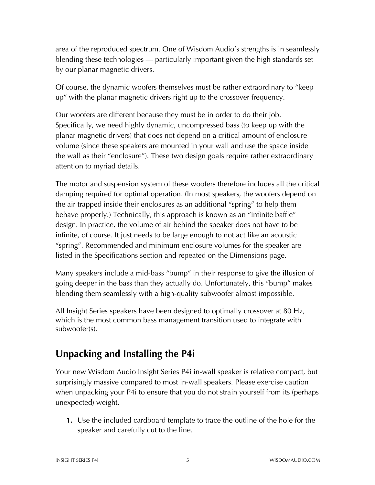area of the reproduced spectrum. One of Wisdom Audio's strengths is in seamlessly blending these technologies — particularly important given the high standards set by our planar magnetic drivers.

Of course, the dynamic woofers themselves must be rather extraordinary to "keep up" with the planar magnetic drivers right up to the crossover frequency.

Our woofers are different because they must be in order to do their job. Specifically, we need highly dynamic, uncompressed bass (to keep up with the planar magnetic drivers) that does not depend on a critical amount of enclosure volume (since these speakers are mounted in your wall and use the space inside the wall as their "enclosure"). These two design goals require rather extraordinary attention to myriad details.

The motor and suspension system of these woofers therefore includes all the critical damping required for optimal operation. (In most speakers, the woofers depend on the air trapped inside their enclosures as an additional "spring" to help them behave properly.) Technically, this approach is known as an "infinite baffle" design. In practice, the volume of air behind the speaker does not have to be infinite, of course. It just needs to be large enough to not act like an acoustic "spring". Recommended and minimum enclosure volumes for the speaker are listed in the Specifications section and repeated on the Dimensions page.

Many speakers include a mid-bass "bump" in their response to give the illusion of going deeper in the bass than they actually do. Unfortunately, this "bump" makes blending them seamlessly with a high-quality subwoofer almost impossible.

All Insight Series speakers have been designed to optimally crossover at 80 Hz, which is the most common bass management transition used to integrate with subwoofer(s).

# **Unpacking and Installing the P4i**

Your new Wisdom Audio Insight Series P4i in-wall speaker is relative compact, but surprisingly massive compared to most in-wall speakers. Please exercise caution when unpacking your P4i to ensure that you do not strain yourself from its (perhaps unexpected) weight.

**1.** Use the included cardboard template to trace the outline of the hole for the speaker and carefully cut to the line.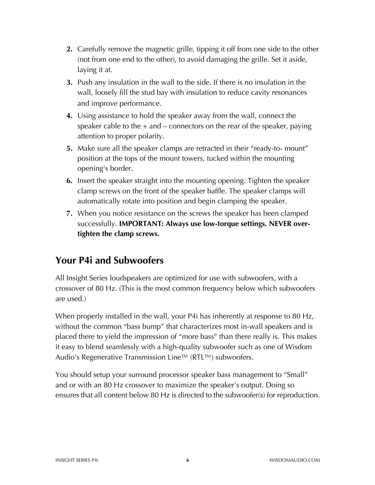- **2.** Carefully remove the magnetic grille, tipping it off from one side to the other (not from one end to the other), to avoid damaging the grille. Set it aside, laying it at.
- **3.** Push any insulation in the wall to the side. If there is no insulation in the wall, loosely fill the stud bay with insulation to reduce cavity resonances and improve performance.
- **4.** Using assistance to hold the speaker away from the wall, connect the speaker cable to the  $+$  and  $-$  connectors on the rear of the speaker, paying attention to proper polarity.
- **5.** Make sure all the speaker clamps are retracted in their "ready-to- mount" position at the tops of the mount towers, tucked within the mounting opening's border.
- **6.** Insert the speaker straight into the mounting opening. Tighten the speaker clamp screws on the front of the speaker baffle. The speaker clamps will automatically rotate into position and begin clamping the speaker.
- **7.** When you notice resistance on the screws the speaker has been clamped successfully. **IMPORTANT: Always use low-torque settings. NEVER overtighten the clamp screws.**

## **Your P4i and Subwoofers**

All Insight Series loudspeakers are optimized for use with subwoofers, with a crossover of 80 Hz. (This is the most common frequency below which subwoofers are used.)

When properly installed in the wall, your P4i has inherently at response to 80 Hz, without the common "bass bump" that characterizes most in-wall speakers and is placed there to yield the impression of "more bass" than there really is. This makes it easy to blend seamlessly with a high-quality subwoofer such as one of Wisdom Audio's Regenerative Transmission Line™ (RTL™) subwoofers.

You should setup your surround processor speaker bass management to "Small" and or with an 80 Hz crossover to maximize the speaker's output. Doing so ensures that all content below 80 Hz is directed to the subwoofer(s) for reproduction.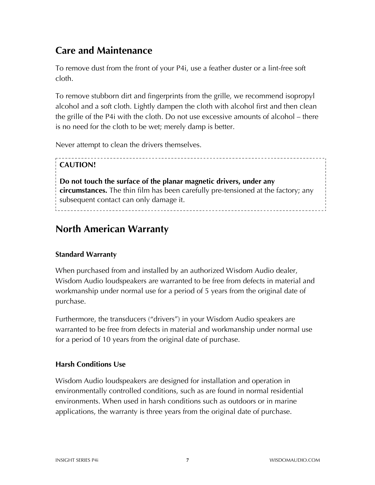## **Care and Maintenance**

To remove dust from the front of your P4i, use a feather duster or a lint-free soft cloth.

To remove stubborn dirt and fingerprints from the grille, we recommend isopropyl alcohol and a soft cloth. Lightly dampen the cloth with alcohol first and then clean the grille of the P4i with the cloth. Do not use excessive amounts of alcohol – there is no need for the cloth to be wet; merely damp is better.

Never attempt to clean the drivers themselves.

## **CAUTION!**

**Do not touch the surface of the planar magnetic drivers, under any circumstances.** The thin film has been carefully pre-tensioned at the factory; any subsequent contact can only damage it. 

## **North American Warranty**

### **Standard Warranty**

When purchased from and installed by an authorized Wisdom Audio dealer, Wisdom Audio loudspeakers are warranted to be free from defects in material and workmanship under normal use for a period of 5 years from the original date of purchase.

Furthermore, the transducers ("drivers") in your Wisdom Audio speakers are warranted to be free from defects in material and workmanship under normal use for a period of 10 years from the original date of purchase.

### **Harsh Conditions Use**

Wisdom Audio loudspeakers are designed for installation and operation in environmentally controlled conditions, such as are found in normal residential environments. When used in harsh conditions such as outdoors or in marine applications, the warranty is three years from the original date of purchase.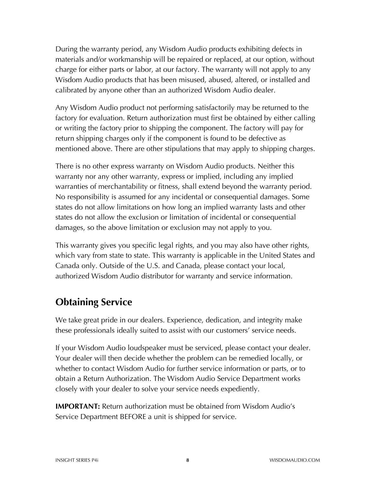During the warranty period, any Wisdom Audio products exhibiting defects in materials and/or workmanship will be repaired or replaced, at our option, without charge for either parts or labor, at our factory. The warranty will not apply to any Wisdom Audio products that has been misused, abused, altered, or installed and calibrated by anyone other than an authorized Wisdom Audio dealer.

Any Wisdom Audio product not performing satisfactorily may be returned to the factory for evaluation. Return authorization must first be obtained by either calling or writing the factory prior to shipping the component. The factory will pay for return shipping charges only if the component is found to be defective as mentioned above. There are other stipulations that may apply to shipping charges.

There is no other express warranty on Wisdom Audio products. Neither this warranty nor any other warranty, express or implied, including any implied warranties of merchantability or fitness, shall extend beyond the warranty period. No responsibility is assumed for any incidental or consequential damages. Some states do not allow limitations on how long an implied warranty lasts and other states do not allow the exclusion or limitation of incidental or consequential damages, so the above limitation or exclusion may not apply to you.

This warranty gives you specific legal rights, and you may also have other rights, which vary from state to state. This warranty is applicable in the United States and Canada only. Outside of the U.S. and Canada, please contact your local, authorized Wisdom Audio distributor for warranty and service information.

## **Obtaining Service**

We take great pride in our dealers. Experience, dedication, and integrity make these professionals ideally suited to assist with our customers' service needs.

If your Wisdom Audio loudspeaker must be serviced, please contact your dealer. Your dealer will then decide whether the problem can be remedied locally, or whether to contact Wisdom Audio for further service information or parts, or to obtain a Return Authorization. The Wisdom Audio Service Department works closely with your dealer to solve your service needs expediently.

**IMPORTANT:** Return authorization must be obtained from Wisdom Audio's Service Department BEFORE a unit is shipped for service.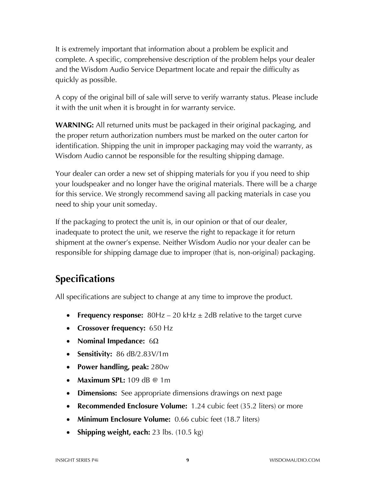It is extremely important that information about a problem be explicit and complete. A specific, comprehensive description of the problem helps your dealer and the Wisdom Audio Service Department locate and repair the difficulty as quickly as possible.

A copy of the original bill of sale will serve to verify warranty status. Please include it with the unit when it is brought in for warranty service.

**WARNING:** All returned units must be packaged in their original packaging, and the proper return authorization numbers must be marked on the outer carton for identification. Shipping the unit in improper packaging may void the warranty, as Wisdom Audio cannot be responsible for the resulting shipping damage.

Your dealer can order a new set of shipping materials for you if you need to ship your loudspeaker and no longer have the original materials. There will be a charge for this service. We strongly recommend saving all packing materials in case you need to ship your unit someday.

If the packaging to protect the unit is, in our opinion or that of our dealer, inadequate to protect the unit, we reserve the right to repackage it for return shipment at the owner's expense. Neither Wisdom Audio nor your dealer can be responsible for shipping damage due to improper (that is, non-original) packaging.

# **Specifications**

All specifications are subject to change at any time to improve the product.

- **Frequency response:** 80Hz 20 kHz ± 2dB relative to the target curve
- **Crossover frequency:** 650 Hz
- **Nominal Impedance:** 6Ω
- **Sensitivity:** 86 dB/2.83V/1m
- **Power handling, peak:** 280w
- **Maximum SPL:** 109 dB @ 1m
- **Dimensions:** See appropriate dimensions drawings on next page
- **Recommended Enclosure Volume:** 1.24 cubic feet (35.2 liters) or more
- **Minimum Enclosure Volume:** 0.66 cubic feet (18.7 liters)
- **Shipping weight, each:** 23 lbs. (10.5 kg)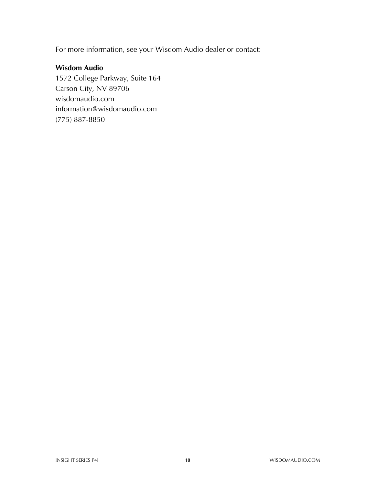For more information, see your Wisdom Audio dealer or contact:

## **Wisdom Audio**

1572 College Parkway, Suite 164 Carson City, NV 89706 wisdomaudio.com information@wisdomaudio.com (775) 887-8850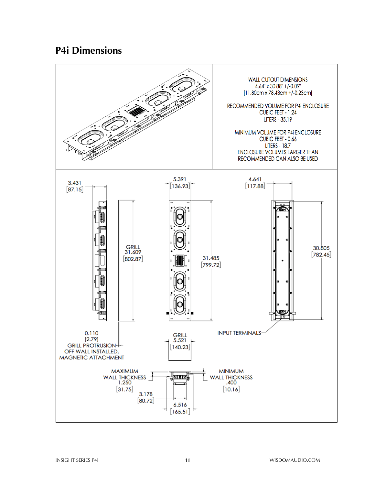## **P4i Dimensions**